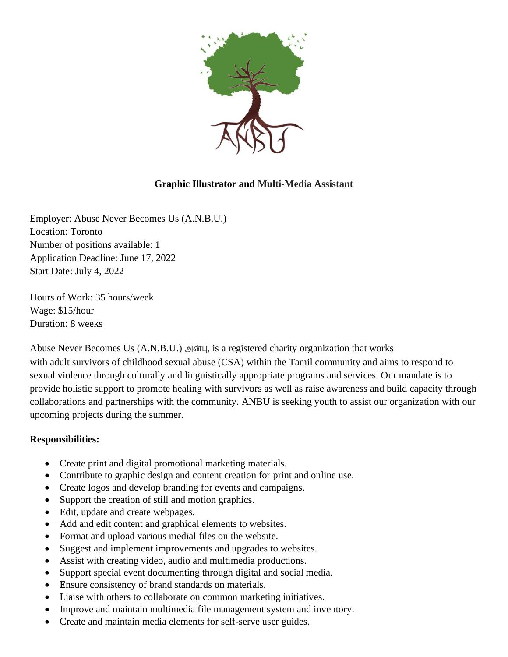

## **Graphic Illustrator and Multi-Media Assistant**

Employer: Abuse Never Becomes Us (A.N.B.U.) Location: Toronto Number of positions available: 1 Application Deadline: June 17, 2022 Start Date: July 4, 2022

Hours of Work: 35 hours/week Wage: \$15/hour Duration: 8 weeks

Abuse Never Becomes Us (A.N.B.U.) அன்பு, is a registered charity organization that works with adult survivors of childhood sexual abuse (CSA) within the Tamil community and aims to respond to sexual violence through culturally and linguistically appropriate programs and services. Our mandate is to provide holistic support to promote healing with survivors as well as raise awareness and build capacity through collaborations and partnerships with the community. ANBU is seeking youth to assist our organization with our upcoming projects during the summer.

## **Responsibilities:**

- Create print and digital promotional marketing materials.
- Contribute to graphic design and content creation for print and online use.
- Create logos and develop branding for events and campaigns.
- Support the creation of still and motion graphics.
- Edit, update and create webpages.
- Add and edit content and graphical elements to websites.
- Format and upload various medial files on the website.
- Suggest and implement improvements and upgrades to websites.
- Assist with creating video, audio and multimedia productions.
- Support special event documenting through digital and social media.
- Ensure consistency of brand standards on materials.
- Liaise with others to collaborate on common marketing initiatives.
- Improve and maintain multimedia file management system and inventory.
- Create and maintain media elements for self-serve user guides.